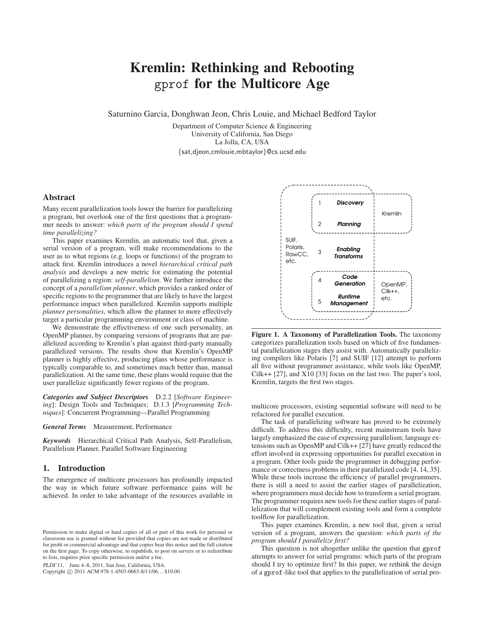# **Kremlin: Rethinking and Rebooting** gprof **for the Multicore Age**

Saturnino Garcia, Donghwan Jeon, Chris Louie, and Michael Bedford Taylor

Department of Computer Science & Engineering University of California, San Diego La Jolla, CA, USA {sat,djeon,cmlouie,mbtaylor}@cs.ucsd.edu

# **Abstract**

Many recent parallelization tools lower the barrier for parallelizing a program, but overlook one of the first questions that a programmer needs to answer: *which parts of the program should I spend time parallelizing?*

This paper examines Kremlin, an automatic tool that, given a serial version of a program, will make recommendations to the user as to what regions (e.g. loops or functions) of the program to attack first. Kremlin introduces a novel *hierarchical critical path analysis* and develops a new metric for estimating the potential of parallelizing a region: *self-parallelism*. We further introduce the concept of a *parallelism planner*, which provides a ranked order of specific regions to the programmer that are likely to have the largest performance impact when parallelized. Kremlin supports multiple *planner personalities*, which allow the planner to more effectively target a particular programming environment or class of machine.

We demonstrate the effectiveness of one such personality, an OpenMP planner, by comparing versions of programs that are parallelized according to Kremlin's plan against third-party manually parallelized versions. The results show that Kremlin's OpenMP planner is highly effective, producing plans whose performance is typically comparable to, and sometimes much better than, manual parallelization. At the same time, these plans would require that the user parallelize significantly fewer regions of the program.

*Categories and Subject Descriptors* D.2.2 [*Software Engineering*]: Design Tools and Techniques; D.1.3 [*Programming Techniques*]: Concurrent Programming—Parallel Programming

*General Terms* Measurement, Performance

*Keywords* Hierarchical Critical Path Analysis, Self-Parallelism, Parallelism Planner, Parallel Software Engineering

# **1. Introduction**

The emergence of multicore processors has profoundly impacted the way in which future software performance gains will be achieved. In order to take advantage of the resources available in

PLDI'11, June 4–8, 2011, San Jose, California, USA.

Copyright © 2011 ACM 978-1-4503-0663-8/11/06... \$10.00



**Figure 1. A Taxonomy of Parallelization Tools.** The taxonomy categorizes parallelization tools based on which of five fundamental parallelization stages they assist with. Automatically parallelizing compilers like Polaris [7] and SUIF [12] attempt to perform all five without programmer assistance, while tools like OpenMP, Cilk++ [27], and X10 [33] focus on the last two. The paper's tool, Kremlin, targets the first two stages.

multicore processors, existing sequential software will need to be refactored for parallel execution.

The task of parallelizing software has proved to be extremely difficult. To address this difficulty, recent mainstream tools have largely emphasized the ease of expressing parallelism; language extensions such as OpenMP and Cilk++ [27] have greatly reduced the effort involved in expressing opportunities for parallel execution in a program. Other tools guide the programmer in debugging performance or correctness problems in their parallelized code [4, 14, 35]. While these tools increase the efficiency of parallel programmers, there is still a need to assist the earlier stages of parallelization, where programmers must decide how to transform a serial program. The programmer requires new tools for these earlier stages of parallelization that will complement existing tools and form a complete toolflow for parallelization.

This paper examines Kremlin, a new tool that, given a serial version of a program, answers the question: *which parts of the program should I parallelize first?*

This question is not altogether unlike the question that gprof attempts to answer for serial programs: which parts of the program should I try to optimize first? In this paper, we rethink the design of a gprof-like tool that applies to the parallelization of serial pro-

Permission to make digital or hard copies of all or part of this work for personal or classroom use is granted without fee provided that copies are not made or distributed for profit or commercial advantage and that copies bear this notice and the full citation on the first page. To copy otherwise, to republish, to post on servers or to redistribute to lists, requires prior specific permission and/or a fee.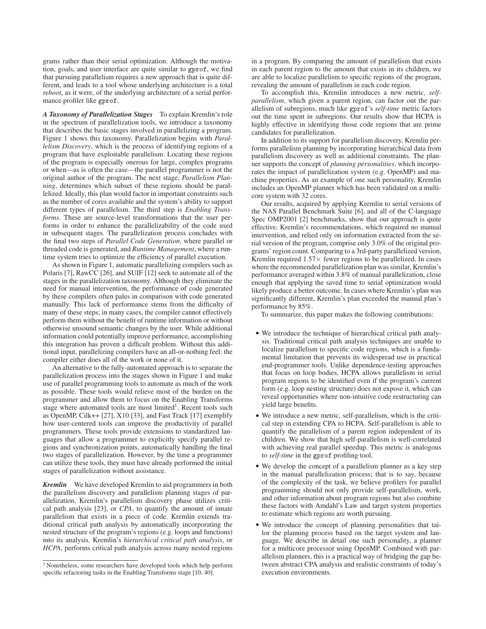grams rather than their serial optimization. Although the motivation, goals, and user interface are quite similar to gprof, we find that pursuing parallelism requires a new approach that is quite different, and leads to a tool whose underlying architecture is a total *reboot*, as it were, of the underlying architecture of a serial performance profiler like gprof.

*A Taxonomy of Parallelization Stages* To explain Kremlin's role in the spectrum of parallelization tools, we introduce a taxonomy that describes the basic stages involved in parallelizing a program. Figure 1 shows this taxonomy. Parallelization begins with *Parallelism Discovery*, which is the process of identifying regions of a program that have exploitable parallelism. Locating these regions of the program is especially onerous for large, complex programs or when—as is often the case—the parallel programmer is not the original author of the program. The next stage, *Parallelism Planning*, determines which subset of these regions should be parallelized. Ideally, this plan would factor in important constraints such as the number of cores available and the system's ability to support different types of parallelism. The third step is *Enabling Transforms*. These are source-level transformations that the user performs in order to enhance the parallelizability of the code used in subsequent stages. The parallelization process concludes with the final two steps of *Parallel Code Generation*, where parallel or threaded code is generated, and *Runtime Management*, where a runtime system tries to optimize the efficiency of parallel execution.

As shown in Figure 1, automatic parallelizing compilers such as Polaris [7], RawCC [26], and SUIF [12] seek to automate all of the stages in the parallelization taxonomy. Although they eliminate the need for manual intervention, the performance of code generated by these compilers often pales in comparison with code generated manually. This lack of performance stems from the difficulty of many of these steps; in many cases, the compiler cannot effectively perform them without the benefit of runtime information or without otherwise unsound semantic changes by the user. While additional information could potentially improve performance, accomplishing this integration has proven a difficult problem. Without this additional input, parallelizing compilers have an all-or-nothing feel: the compiler either does all of the work or none of it.

An alternative to the fully-automated approach is to separate the parallelization process into the stages shown in Figure 1 and make use of parallel programming tools to automate as much of the work as possible. These tools would relieve most of the burden on the programmer and allow them to focus on the Enabling Transforms stage where automated tools are most limited<sup>1</sup>. Recent tools such as OpenMP, Cilk++ [27], X10 [33], and Fast Track [17] exemplify how user-centered tools can improve the productivity of parallel programmers. These tools provide extensions to standardized languages that allow a programmer to explicitly specify parallel regions and synchronization points, automatically handling the final two stages of parallelization. However, by the time a programmer can utilize these tools, they must have already performed the initial stages of parallelization without assistance.

*Kremlin* We have developed Kremlin to aid programmers in both the parallelism discovery and parallelism planning stages of parallelization. Kremlin's parallelism discovery phase utilizes critical path analysis [23], or *CPA*, to quantify the amount of innate parallelism that exists in a piece of code. Kremlin extends traditional critical path analysis by automatically incorporating the nested structure of the program's regions (e.g. loops and functions) into its analysis. Kremlin's *hierarchical critical path analysis*, or *HCPA*, performs critical path analysis across many nested regions in a program. By comparing the amount of parallelism that exists in each parent region to the amount that exists in its children, we are able to localize parallelism to specific regions of the program, revealing the amount of parallelism in each code region.

To accomplish this, Kremlin introduces a new metric, *selfparallelism*, which given a parent region, can factor out the parallelism of subregions, much like gprof's *self-time* metric factors out the time spent in subregions. Our results show that HCPA is highly effective in identifying those code regions that are prime candidates for parallelization.

In addition to its support for parallelism discovery, Kremlin performs parallelism planning by incorporating hierarchical data from parallelism discovery as well as additional constraints. The planner supports the concept of *planning personalities*, which incorporates the impact of parallelization system (e.g. OpenMP) and machine properties. As an example of one such personality, Kremlin includes an OpenMP planner which has been validated on a multicore system with 32 cores.

Our results, acquired by applying Kremlin to serial versions of the NAS Parallel Benchmark Suite [6], and all of the C-language Spec OMP2001 [2] benchmarks, show that our approach is quite effective. Kremlin's recommendations, which required no manual intervention, and relied only on information extracted from the serial version of the program, comprise only 3.0% of the original programs' region count. Comparing to a 3rd-party parallelized version, Kremlin required  $1.57\times$  fewer regions to be parallelized. In cases where the recommended parallelization plan was similar, Kremlin's performance averaged within 3.8% of manual parallelization, close enough that applying the saved time to serial optimization would likely produce a better outcome. In cases where Kremlin's plan was significantly different, Kremlin's plan exceeded the manual plan's performance by 85%.

To summarize, this paper makes the following contributions:

- We introduce the technique of hierarchical critical path analysis. Traditional critical path analysis techniques are unable to localize parallelism to specific code regions, which is a fundamental limitation that prevents its widespread use in practical end-programmer tools. Unlike dependence-testing approaches that focus on loop bodies, HCPA allows parallelism in serial program regions to be identified even if the program's current form (e.g. loop nesting structure) does not expose it, which can reveal opportunities where non-intuitive code restructuring can yield large benefits.
- We introduce a new metric, self-parallelism, which is the critical step in extending CPA to HCPA. Self-parallelism is able to quantify the parallelism of a parent region independent of its children. We show that high self-parallelism is well-correlated with achieving real parallel speedup. This metric is analogous to *self-time* in the gprof profiling tool.
- We develop the concept of a parallelism planner as a key step in the manual parallelization process; that is to say, because of the complexity of the task, we believe profilers for parallel programming should not only provide self-parallelism, work, and other information about program regions but also combine these factors with Amdahl's Law and target system properties to estimate which regions are worth pursuing.
- We introduce the concept of planning personalities that tailor the planning process based on the target system and language. We describe in detail one such personality, a planner for a multicore processor using OpenMP. Combined with parallelism planners, this is a practical way of bridging the gap between abstract CPA analysis and realistic constraints of today's execution environments.

<sup>&</sup>lt;sup>1</sup> Nonetheless, some researchers have developed tools which help perform specific refactoring tasks in the Enabling Transforms stage [10, 40].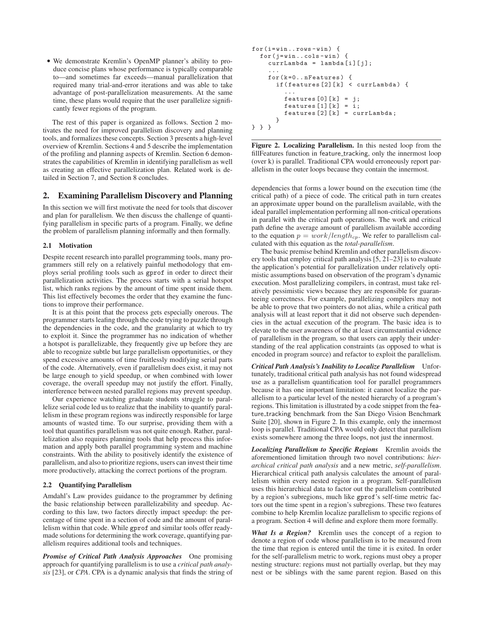• We demonstrate Kremlin's OpenMP planner's ability to produce concise plans whose performance is typically comparable to—and sometimes far exceeds—manual parallelization that required many trial-and-error iterations and was able to take advantage of post-parallelization measurements. At the same time, these plans would require that the user parallelize significantly fewer regions of the program.

The rest of this paper is organized as follows. Section 2 motivates the need for improved parallelism discovery and planning tools, and formalizes these concepts. Section 3 presents a high-level overview of Kremlin. Sections 4 and 5 describe the implementation of the profiling and planning aspects of Kremlin. Section 6 demonstrates the capabilities of Kremlin in identifying parallelism as well as creating an effective parallelization plan. Related work is detailed in Section 7, and Section 8 concludes.

# **2. Examining Parallelism Discovery and Planning**

In this section we will first motivate the need for tools that discover and plan for parallelism. We then discuss the challenge of quantifying parallelism in specific parts of a program. Finally, we define the problem of parallelism planning informally and then formally.

#### **2.1 Motivation**

Despite recent research into parallel programming tools, many programmers still rely on a relatively painful methodology that employs serial profiling tools such as gprof in order to direct their parallelization activities. The process starts with a serial hotspot list, which ranks regions by the amount of time spent inside them. This list effectively becomes the order that they examine the functions to improve their performance.

It is at this point that the process gets especially onerous. The programmer starts leafing through the code trying to puzzle through the dependencies in the code, and the granularity at which to try to exploit it. Since the programmer has no indication of whether a hotspot is parallelizable, they frequently give up before they are able to recognize subtle but large parallelism opportunities, or they spend excessive amounts of time fruitlessly modifying serial parts of the code. Alternatively, even if parallelism does exist, it may not be large enough to yield speedup, or when combined with lower coverage, the overall speedup may not justify the effort. Finally, interference between nested parallel regions may prevent speedup.

Our experience watching graduate students struggle to parallelize serial code led us to realize that the inability to quantify parallelism in these program regions was indirectly responsible for large amounts of wasted time. To our surprise, providing them with a tool that quantifies parallelism was not quite enough. Rather, parallelization also requires planning tools that help process this information and apply both parallel programming system and machine constraints. With the ability to positively identify the existence of parallelism, and also to prioritize regions, users can invest their time more productively, attacking the correct portions of the program.

# **2.2 Quantifying Parallelism**

Amdahl's Law provides guidance to the programmer by defining the basic relationship between parallelizability and speedup. According to this law, two factors directly impact speedup: the percentage of time spent in a section of code and the amount of parallelism within that code. While gprof and similar tools offer readymade solutions for determining the work coverage, quantifying parallelism requires additional tools and techniques.

*Promise of Critical Path Analysis Approaches* One promising approach for quantifying parallelism is to use a *critical path analysis* [23], or *CPA*. CPA is a dynamic analysis that finds the string of

```
for ( i = win . . rows - win ) {
  for (j=win..cols-vin) {
    currLambda = lambda [i] [j];...
    for (k=0..nFeatures) {
       if (features [2] [k] < currLambda) {
         ...
         features [0][k] = j;features [1] [k] = i;features [2] [k] = currLambda;}
} } }
```
**Figure 2. Localizing Parallelism.** In this nested loop from the fillFeatures function in feature tracking, only the innermost loop (over k) is parallel. Traditional CPA would erroneously report parallelism in the outer loops because they contain the innermost.

dependencies that forms a lower bound on the execution time (the critical path) of a piece of code. The critical path in turn creates an approximate upper bound on the parallelism available, with the ideal parallel implementation performing all non-critical operations in parallel with the critical path operations. The work and critical path define the average amount of parallelism available according to the equation  $p = work/length_{cp}$ . We refer to parallelism calculated with this equation as the *total-parallelism*.

The basic premise behind Kremlin and other parallelism discovery tools that employ critical path analysis [5, 21–23] is to evaluate the application's potential for parallelization under relatively optimistic assumptions based on observation of the program's dynamic execution. Most parallelizing compilers, in contrast, must take relatively pessimistic views because they are responsible for guaranteeing correctness. For example, parallelizing compilers may not be able to prove that two pointers do not alias, while a critical path analysis will at least report that it did not observe such dependencies in the actual execution of the program. The basic idea is to elevate to the user awareness of the at least circumstantial evidence of parallelism in the program, so that users can apply their understanding of the real application constraints (as opposed to what is encoded in program source) and refactor to exploit the parallelism.

*Critical Path Analysis's Inability to Localize Parallelism* Unfortunately, traditional critical path analysis has not found widespread use as a parallelism quantification tool for parallel programmers because it has one important limitation: it cannot localize the parallelism to a particular level of the nested hierarchy of a program's regions. This limitation is illustrated by a code snippet from the feature tracking benchmark from the San Diego Vision Benchmark Suite [20], shown in Figure 2. In this example, only the innermost loop is parallel. Traditional CPA would only detect that parallelism exists somewhere among the three loops, not just the innermost.

*Localizing Parallelism to Specific Regions* Kremlin avoids the aforementioned limitation through two novel contributions: *hierarchical critical path analysis* and a new metric, *self-parallelism*. Hierarchical critical path analysis calculates the amount of parallelism within every nested region in a program. Self-parallelism uses this hierarchical data to factor out the parallelism contributed by a region's subregions, much like gprof's self-time metric factors out the time spent in a region's subregions. These two features combine to help Kremlin localize parallelism to specific regions of a program. Section 4 will define and explore them more formally.

*What Is a Region?* Kremlin uses the concept of a region to denote a region of code whose parallelism is to be measured from the time that region is entered until the time it is exited. In order for the self-parallelism metric to work, regions must obey a proper nesting structure: regions must not partially overlap, but they may nest or be siblings with the same parent region. Based on this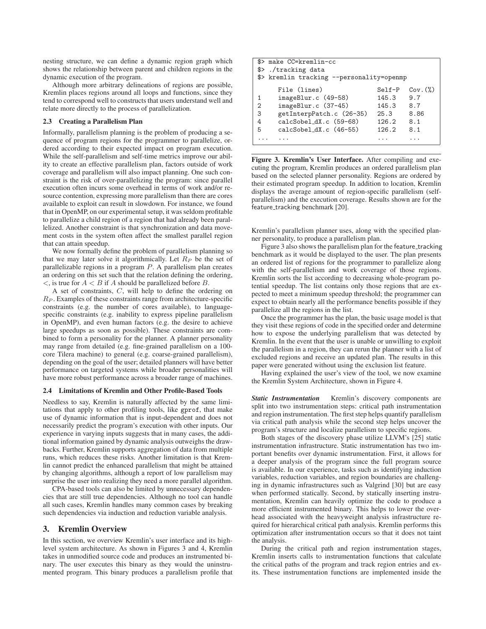nesting structure, we can define a dynamic region graph which shows the relationship between parent and children regions in the dynamic execution of the program.

Although more arbitrary delineations of regions are possible, Kremlin places regions around all loops and functions, since they tend to correspond well to constructs that users understand well and relate more directly to the process of parallelization.

## **2.3 Creating a Parallelism Plan**

Informally, parallelism planning is the problem of producing a sequence of program regions for the programmer to parallelize, ordered according to their expected impact on program execution. While the self-parallelism and self-time metrics improve our ability to create an effective parallelism plan, factors outside of work coverage and parallelism will also impact planning. One such constraint is the risk of over-parallelizing the program: since parallel execution often incurs some overhead in terms of work and/or resource contention, expressing more parallelism than there are cores available to exploit can result in slowdown. For instance, we found that in OpenMP, on our experimental setup, it was seldom profitable to parallelize a child region of a region that had already been parallelized. Another constraint is that synchronization and data movement costs in the system often affect the smallest parallel region that can attain speedup.

We now formally define the problem of parallelism planning so that we may later solve it algorithmically. Let  $R_P$  be the set of parallelizable regions in a program P. A parallelism plan creates an ordering on this set such that the relation defining the ordering,  $\lt$ , is true for  $A \lt B$  if A should be parallelized before B.

A set of constraints, C, will help to define the ordering on  $R_P$ . Examples of these constraints range from architecture-specific constraints (e.g. the number of cores available), to languagespecific constraints (e.g. inability to express pipeline parallelism in OpenMP), and even human factors (e.g. the desire to achieve large speedups as soon as possible). These constraints are combined to form a personality for the planner. A planner personality may range from detailed (e.g. fine-grained parallelism on a 100 core Tilera machine) to general (e.g. coarse-grained parallelism), depending on the goal of the user; detailed planners will have better performance on targeted systems while broader personalities will have more robust performance across a broader range of machines.

#### **2.4 Limitations of Kremlin and Other Profile-Based Tools**

Needless to say, Kremlin is naturally affected by the same limitations that apply to other profiling tools, like gprof, that make use of dynamic information that is input-dependent and does not necessarily predict the program's execution with other inputs. Our experience in varying inputs suggests that in many cases, the additional information gained by dynamic analysis outweighs the drawbacks. Further, Kremlin supports aggregation of data from multiple runs, which reduces these risks. Another limitation is that Kremlin cannot predict the enhanced parallelism that might be attained by changing algorithms, although a report of low parallelism may surprise the user into realizing they need a more parallel algorithm.

CPA-based tools can also be limited by unnecessary dependencies that are still true dependencies. Although no tool can handle all such cases, Kremlin handles many common cases by breaking such dependencies via induction and reduction variable analysis.

#### **3. Kremlin Overview**

In this section, we overview Kremlin's user interface and its highlevel system architecture. As shown in Figures 3 and 4, Kremlin takes in unmodified source code and produces an instrumented binary. The user executes this binary as they would the uninstrumented program. This binary produces a parallelism profile that

| \$> make CC=kremlin-cc                    |          |               |  |  |
|-------------------------------------------|----------|---------------|--|--|
| \$> ./tracking data                       |          |               |  |  |
| \$> kremlin tracking --personality=openmp |          |               |  |  |
| File (lines)                              | $Self-P$ | $Cov.$ $(\%)$ |  |  |
| imageBlur.c (49-58)<br>1                  | 145.3    | 9.7           |  |  |
| imageBlur.c (37-45)<br>$\overline{2}$     | 145.3    | 8.7           |  |  |
| 3<br>getInterpPatch.c (26-35)             | 25.3     | 8.86          |  |  |
| $calCSobel_dX.c$ (59-68)<br>4             | 126.2    | 8.1           |  |  |
| $calCSMel_dX.c$ (46-55)<br>5              | 126.2    | 8.1           |  |  |
|                                           |          |               |  |  |
|                                           |          |               |  |  |

**Figure 3. Kremlin's User Interface.** After compiling and executing the program, Kremlin produces an ordered parallelism plan based on the selected planner personality. Regions are ordered by their estimated program speedup. In addition to location, Kremlin displays the average amount of region-specific parallelism (selfparallelism) and the execution coverage. Results shown are for the feature\_tracking benchmark [20].

Kremlin's parallelism planner uses, along with the specified planner personality, to produce a parallelism plan.

Figure 3 also shows the parallelism plan for the feature\_tracking benchmark as it would be displayed to the user. The plan presents an ordered list of regions for the programmer to parallelize along with the self-parallelism and work coverage of those regions. Kremlin sorts the list according to decreasing whole-program potential speedup. The list contains only those regions that are expected to meet a minimum speedup threshold; the programmer can expect to obtain nearly all the performance benefits possible if they parallelize all the regions in the list.

Once the programmer has the plan, the basic usage model is that they visit these regions of code in the specified order and determine how to expose the underlying parallelism that was detected by Kremlin. In the event that the user is unable or unwilling to exploit the parallelism in a region, they can rerun the planner with a list of excluded regions and receive an updated plan. The results in this paper were generated without using the exclusion list feature.

Having explained the user's view of the tool, we now examine the Kremlin System Architecture, shown in Figure 4.

*Static Instrumentation* Kremlin's discovery components are split into two instrumentation steps: critical path instrumentation and region instrumentation. The first step helps quantify parallelism via critical path analysis while the second step helps uncover the program's structure and localize parallelism to specific regions.

Both stages of the discovery phase utilize LLVM's [25] static instrumentation infrastructure. Static instrumentation has two important benefits over dynamic instrumentation. First, it allows for a deeper analysis of the program since the full program source is available. In our experience, tasks such as identifying induction variables, reduction variables, and region boundaries are challenging in dynamic infrastructures such as Valgrind [30] but are easy when performed statically. Second, by statically inserting instrumentation, Kremlin can heavily optimize the code to produce a more efficient instrumented binary. This helps to lower the overhead associated with the heavyweight analysis infrastructure required for hierarchical critical path analysis. Kremlin performs this optimization after instrumentation occurs so that it does not taint the analysis.

During the critical path and region instrumentation stages, Kremlin inserts calls to instrumentation functions that calculate the critical paths of the program and track region entries and exits. These instrumentation functions are implemented inside the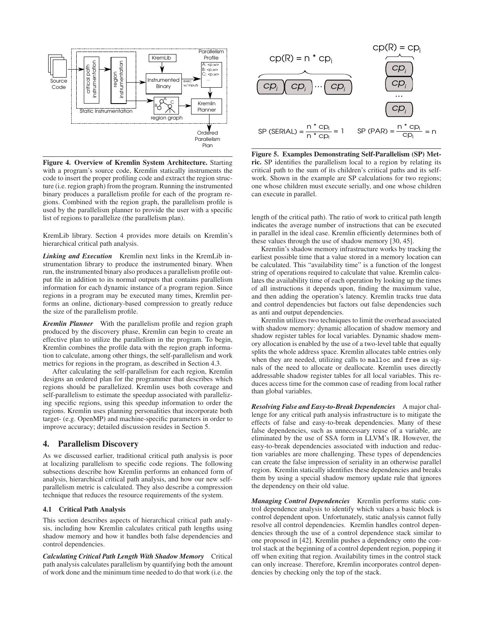

**Figure 4. Overview of Kremlin System Architecture.** Starting with a program's source code, Kremlin statically instruments the code to insert the proper profiling code and extract the region structure (i.e. region graph) from the program. Running the instrumented binary produces a parallelism profile for each of the program regions. Combined with the region graph, the parallelism profile is used by the parallelism planner to provide the user with a specific list of regions to parallelize (the parallelism plan).

KremLib library. Section 4 provides more details on Kremlin's hierarchical critical path analysis.

*Linking and Execution* Kremlin next links in the KremLib instrumentation library to produce the instrumented binary. When run, the instrumented binary also produces a parallelism profile output file in addition to its normal outputs that contains parallelism information for each dynamic instance of a program region. Since regions in a program may be executed many times, Kremlin performs an online, dictionary-based compression to greatly reduce the size of the parallelism profile.

*Kremlin Planner* With the parallelism profile and region graph produced by the discovery phase, Kremlin can begin to create an effective plan to utilize the parallelism in the program. To begin, Kremlin combines the profile data with the region graph information to calculate, among other things, the self-parallelism and work metrics for regions in the program, as described in Section 4.3.

After calculating the self-parallelism for each region, Kremlin designs an ordered plan for the programmer that describes which regions should be parallelized. Kremlin uses both coverage and self-parallelism to estimate the speedup associated with parallelizing specific regions, using this speedup information to order the regions. Kremlin uses planning personalities that incorporate both target- (e.g. OpenMP) and machine-specific parameters in order to improve accuracy; detailed discussion resides in Section 5.

# **4. Parallelism Discovery**

As we discussed earlier, traditional critical path analysis is poor at localizing parallelism to specific code regions. The following subsections describe how Kremlin performs an enhanced form of analysis, hierarchical critical path analysis, and how our new selfparallelism metric is calculated. They also describe a compression technique that reduces the resource requirements of the system.

## **4.1 Critical Path Analysis**

This section describes aspects of hierarchical critical path analysis, including how Kremlin calculates critical path lengths using shadow memory and how it handles both false dependencies and control dependencies.

*Calculating Critical Path Length With Shadow Memory* Critical path analysis calculates parallelism by quantifying both the amount of work done and the minimum time needed to do that work (i.e. the



**Figure 5. Examples Demonstrating Self-Parallelism (SP) Metric.** SP identifies the parallelism local to a region by relating its critical path to the sum of its children's critical paths and its selfwork. Shown in the example are SP calculations for two regions; one whose children must execute serially, and one whose children can execute in parallel.

length of the critical path). The ratio of work to critical path length indicates the average number of instructions that can be executed in parallel in the ideal case. Kremlin efficiently determines both of these values through the use of shadow memory [30, 45].

Kremlin's shadow memory infrastructure works by tracking the earliest possible time that a value stored in a memory location can be calculated. This "availability time" is a function of the longest string of operations required to calculate that value. Kremlin calculates the availability time of each operation by looking up the times of all instructions it depends upon, finding the maximum value, and then adding the operation's latency. Kremlin tracks true data and control dependencies but factors out false dependencies such as anti and output dependencies.

Kremlin utilizes two techniques to limit the overhead associated with shadow memory: dynamic allocation of shadow memory and shadow register tables for local variables. Dynamic shadow memory allocation is enabled by the use of a two-level table that equally splits the whole address space. Kremlin allocates table entries only when they are needed, utilizing calls to malloc and free as signals of the need to allocate or deallocate. Kremlin uses directly addressable shadow register tables for all local variables. This reduces access time for the common case of reading from local rather than global variables.

*Resolving False and Easy-to-Break Dependencies* A major challenge for any critical path analysis infrastructure is to mitigate the effects of false and easy-to-break dependencies. Many of these false dependencies, such as unnecessary reuse of a variable, are eliminated by the use of SSA form in LLVM's IR. However, the easy-to-break dependencies associated with induction and reduction variables are more challenging. These types of dependencies can create the false impression of seriality in an otherwise parallel region. Kremlin statically identifies these dependencies and breaks them by using a special shadow memory update rule that ignores the dependency on their old value.

*Managing Control Dependencies* Kremlin performs static control dependence analysis to identify which values a basic block is control dependent upon. Unfortunately, static analysis cannot fully resolve all control dependencies. Kremlin handles control dependencies through the use of a control dependence stack similar to one proposed in [42]. Kremlin pushes a dependency onto the control stack at the beginning of a control dependent region, popping it off when exiting that region. Availability times in the control stack can only increase. Therefore, Kremlin incorporates control dependencies by checking only the top of the stack.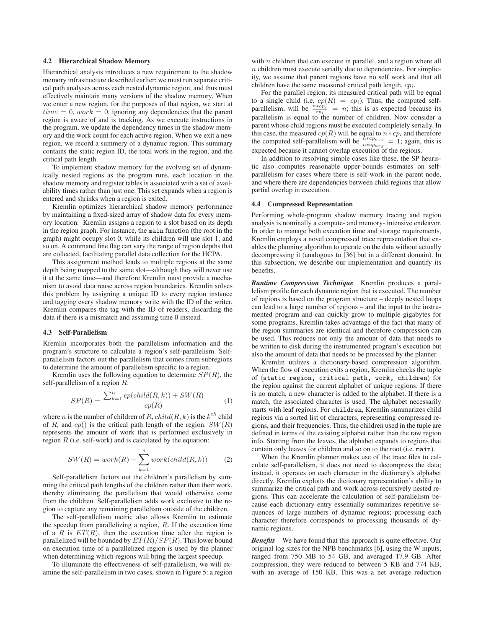#### **4.2 Hierarchical Shadow Memory**

Hierarchical analysis introduces a new requirement to the shadow memory infrastructure described earlier: we must run separate critical path analyses across each nested dynamic region, and thus must effectively maintain many versions of the shadow memory. When we enter a new region, for the purposes of that region, we start at  $time = 0$ ,  $work = 0$ , ignoring any dependencies that the parent region is aware of and is tracking. As we execute instructions in the program, we update the dependency times in the shadow memory and the work count for each active region. When we exit a new region, we record a summery of a dynamic region. This summary contains the static region ID, the total work in the region, and the critical path length.

To implement shadow memory for the evolving set of dynamically nested regions as the program runs, each location in the shadow memory and register tables is associated with a set of availability times rather than just one. This set expands when a region is entered and shrinks when a region is exited.

Kremlin optimizes hierarchical shadow memory performance by maintaining a fixed-sized array of shadow data for every memory location. Kremlin assigns a region to a slot based on its depth in the region graph. For instance, the main function (the root in the graph) might occupy slot 0, while its children will use slot 1, and so on. A command line flag can vary the range of region depths that are collected, facilitating parallel data collection for the HCPA.

This assignment method leads to multiple regions at the same depth being mapped to the same slot—although they will never use it at the same time—and therefore Kremlin must provide a mechanism to avoid data reuse across region boundaries. Kremlin solves this problem by assigning a unique ID to every region instance and tagging every shadow memory write with the ID of the writer. Kremlin compares the tag with the ID of readers, discarding the data if there is a mismatch and assuming time 0 instead.

#### **4.3 Self-Parallelism**

Kremlin incorporates both the parallelism information and the program's structure to calculate a region's self-parallelism. Selfparallelism factors out the parallelism that comes from subregions to determine the amount of parallelism specific to a region.

Kremlin uses the following equation to determine  $SP(R)$ , the self-parallelism of a region  $R$ :

$$
SP(R) = \frac{\sum_{k=1}^{n} cp(child(R,k)) + SW(R)}{cp(R)}
$$
 (1)

where *n* is the number of children of *R*,  $child(R, k)$  is the  $k^{th}$  child of R, and  $cp()$  is the critical path length of the region.  $SW(R)$ represents the amount of work that is performed exclusively in region  $R$  (i.e. self-work) and is calculated by the equation:

$$
SW(R) = work(R) - \sum_{k=1}^{n} work(cchild(R, k))
$$
 (2)

Self-parallelism factors out the children's parallelism by summing the critical path lengths of the children rather than their work, thereby eliminating the parallelism that would otherwise come from the children. Self-parallelism adds work exclusive to the region to capture any remaining parallelism outside of the children.

The self-parallelism metric also allows Kremlin to estimate the speedup from parallelizing a region,  $R$ . If the execution time of a R is  $ET(R)$ , then the execution time after the region is parallelized will be bounded by  $ET(R)/SP(R)$ . This lower bound on execution time of a parallelized region is used by the planner when determining which regions will bring the largest speedup.

To illuminate the effectiveness of self-parallelism, we will examine the self-parallelism in two cases, shown in Figure 5: a region

with  $n$  children that can execute in parallel, and a region where all  $n$  children must execute serially due to dependencies. For simplicity, we assume that parent regions have no self work and that all children have the same measured critical path length,  $cp<sub>i</sub>$ .

For the parallel region, its measured critical path will be equal to a single child (i.e.  $cp(R) = cp_i$ ). Thus, the computed self-<br>parallelism, will be  $\frac{n * cp_i}{cp_i} = n$ ; this is as expected because its parallelism is equal to the number of children. Now consider a parent whose child regions must be executed completely serially. In this case, the measured  $cp(R)$  will be equal to  $n * cp_i$  and therefore the computed self-parallelism will be  $\frac{n * cpavg}{n * cpavg} = 1$ ; again, this is expected because it cannot overlap execution of the regions.

In addition to resolving simple cases like these, the SP heuristic also computes reasonable upper-bounds estimates on selfparallelism for cases where there is self-work in the parent node, and where there are dependencies between child regions that allow partial overlap in execution.

#### **4.4 Compressed Representation**

Performing whole-program shadow memory tracing and region analysis is nominally a compute- and memory- intensive endeavor. In order to manage both execution time and storage requirements, Kremlin employs a novel compressed trace representation that enables the planning algorithm to operate on the data without actually decompressing it (analogous to [36] but in a different domain). In this subsection, we describe our implementation and quantify its benefits.

*Runtime Compression Technique* Kremlin produces a parallelism profile for each dynamic region that is executed. The number of regions is based on the program structure – deeply nested loops can lead to a large number of regions – and the input to the instrumented program and can quickly grow to multiple gigabytes for some programs. Kremlin takes advantage of the fact that many of the region summaries are identical and therefore compression can be used. This reduces not only the amount of data that needs to be written to disk during the instrumented program's execution but also the amount of data that needs to be processed by the planner.

Kremlin utilizes a dictionary-based compression algorithm. When the flow of execution exits a region, Kremlin checks the tuple of  $\langle$  static region, critical path, work, children $\rangle$  for the region against the current alphabet of unique regions. If there is no match, a new character is added to the alphabet. If there is a match, the associated character is used. The alphabet necessarily starts with leaf regions. For children, Kremlin summarizes child regions via a sorted list of characters, representing compressed regions, and their frequencies. Thus, the children used in the tuple are defined in terms of the existing alphabet rather than the raw region info. Starting from the leaves, the alphabet expands to regions that contain only leaves for children and so on to the root (i.e. main).

When the Kremlin planner makes use of the trace files to calculate self-parallelism, it does not need to decompress the data; instead, it operates on each character in the dictionary's alphabet directly. Kremlin exploits the dictionary representation's ability to summarize the critical path and work across recursively nested regions. This can accelerate the calculation of self-parallelism because each dictionary entry essentially summarizes repetitive sequences of large numbers of dynamic regions; processing each character therefore corresponds to processing thousands of dynamic regions.

*Benefits* We have found that this approach is quite effective. Our original log sizes for the NPB benchmarks [6], using the W inputs, ranged from 750 MB to 54 GB, and averaged 17.9 GB. After compression, they were reduced to between 5 KB and 774 KB, with an average of 150 KB. This was a net average reduction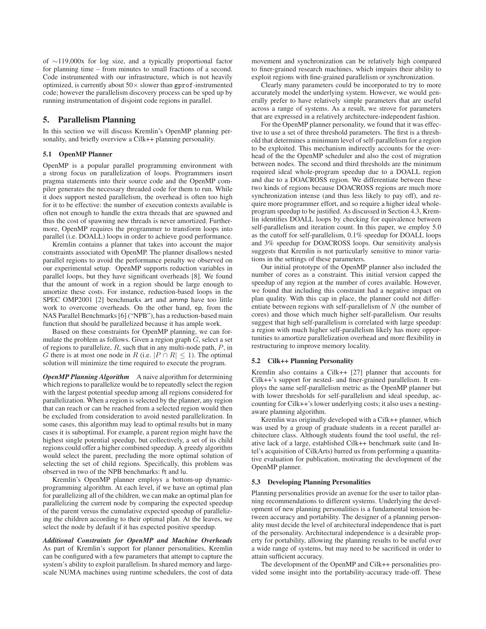of ∼119,000x for log size, and a typically proportional factor for planning time – from minutes to small fractions of a second. Code instrumented with our infrastructure, which is not heavily optimized, is currently about  $50\times$  slower than gprof-instrumented code; however the parallelism discovery process can be sped up by running instrumentation of disjoint code regions in parallel.

# **5. Parallelism Planning**

In this section we will discuss Kremlin's OpenMP planning personality, and briefly overview a Cilk++ planning personality.

#### **5.1 OpenMP Planner**

OpenMP is a popular parallel programming environment with a strong focus on parallelization of loops. Programmers insert pragma statements into their source code and the OpenMP compiler generates the necessary threaded code for them to run. While it does support nested parallelism, the overhead is often too high for it to be effective: the number of execution contexts available is often not enough to handle the extra threads that are spawned and thus the cost of spawning new threads is never amortized. Furthermore, OpenMP requires the programmer to transform loops into parallel (i.e. DOALL) loops in order to achieve good performance.

Kremlin contains a planner that takes into account the major constraints associated with OpenMP. The planner disallows nested parallel regions to avoid the performance penalty we observed on our experimental setup. OpenMP supports reduction variables in parallel loops, but they have significant overheads [8]. We found that the amount of work in a region should be large enough to amortize these costs. For instance, reduction-based loops in the SPEC OMP2001 [2] benchmarks art and ammp have too little work to overcome overheads. On the other hand, ep, from the NAS Parallel Benchmarks [6] ("NPB"), has a reduction-based main function that should be parallelized because it has ample work.

Based on these constraints for OpenMP planning, we can formulate the problem as follows. Given a region graph  $G$ , select a set of regions to parallelize,  $R$ , such that in any multi-node path,  $P$ , in G there is at most one node in R (i.e.  $|P \cap R| \le 1$ ). The optimal solution will minimize the time required to execute the program.

*OpenMP Planning Algorithm* A naive algorithm for determining which regions to parallelize would be to repeatedly select the region with the largest potential speedup among all regions considered for parallelization. When a region is selected by the planner, any region that can reach or can be reached from a selected region would then be excluded from consideration to avoid nested parallelization. In some cases, this algorithm may lead to optimal results but in many cases it is suboptimal. For example, a parent region might have the highest single potential speedup, but collectively, a set of its child regions could offer a higher combined speedup. A greedy algorithm would select the parent, precluding the more optimal solution of selecting the set of child regions. Specifically, this problem was observed in two of the NPB benchmarks: ft and lu.

Kremlin's OpenMP planner employs a bottom-up dynamicprogramming algorithm. At each level, if we have an optimal plan for parallelizing all of the children, we can make an optimal plan for parallelizing the current node by comparing the expected speedup of the parent versus the cumulative expected speedup of parallelizing the children according to their optimal plan. At the leaves, we select the node by default if it has expected positive speedup.

*Additional Constraints for OpenMP and Machine Overheads* As part of Kremlin's support for planner personalities, Kremlin can be configured with a few parameters that attempt to capture the system's ability to exploit parallelism. In shared memory and largescale NUMA machines using runtime schedulers, the cost of data movement and synchronization can be relatively high compared to finer-grained research machines, which impairs their ability to exploit regions with fine-grained parallelism or synchronization.

Clearly many parameters could be incorporated to try to more accurately model the underlying system. However, we would generally prefer to have relatively simple parameters that are useful across a range of systems. As a result, we strove for parameters that are expressed in a relatively architecture-independent fashion.

For the OpenMP planner personality, we found that it was effective to use a set of three threshold parameters. The first is a threshold that determines a minimum level of self-parallelism for a region to be exploited. This mechanism indirectly accounts for the overhead of the the OpenMP scheduler and also the cost of migration between nodes. The second and third thresholds are the minimum required ideal whole-program speedup due to a DOALL region and due to a DOACROSS region. We differentiate between these two kinds of regions because DOACROSS regions are much more synchronization intense (and thus less likely to pay off), and require more programmer effort, and so require a higher ideal wholeprogram speedup to be justified. As discussed in Section 4.3, Kremlin identifies DOALL loops by checking for equivalence between self-parallelism and iteration count. In this paper, we employ 5.0 as the cutoff for self-parallelism, 0.1% speedup for DOALL loops and 3% speedup for DOACROSS loops. Our sensitivity analysis suggests that Kremlin is not particularly sensitive to minor variations in the settings of these parameters.

Our initial prototype of the OpenMP planner also included the number of cores as a constraint. This initial version capped the speedup of any region at the number of cores available. However, we found that including this constraint had a negative impact on plan quality. With this cap in place, the planner could not differentiate between regions with self-parallelism of  $N$  (the number of cores) and those which much higher self-parallelism. Our results suggest that high self-parallelism is correlated with large speedup: a region with much higher self-parallelism likely has more opportunities to amortize parallelization overhead and more flexibility in restructuring to improve memory locality.

## **5.2 Cilk++ Planning Personality**

Kremlin also contains a Cilk++ [27] planner that accounts for Cilk++'s support for nested- and finer-grained parallelism. It employs the same self-parallelism metric as the OpenMP planner but with lower thresholds for self-parallelism and ideal speedup, accounting for Cilk++'s lower underlying costs; it also uses a nestingaware planning algorithm.

Kremlin was originally developed with a Cilk++ planner, which was used by a group of graduate students in a recent parallel architecture class. Although students found the tool useful, the relative lack of a large, established Cilk++ benchmark suite (and Intel's acquisition of CilkArts) barred us from performing a quantitative evaluation for publication, motivating the development of the OpenMP planner.

#### **5.3 Developing Planning Personalities**

Planning personalities provide an avenue for the user to tailor planning recommendations to different systems. Underlying the development of new planning personalities is a fundamental tension between accuracy and portability. The designer of a planning personality must decide the level of architectural independence that is part of the personality. Architectural independence is a desirable property for portability, allowing the planning results to be useful over a wide range of systems, but may need to be sacrificed in order to attain sufficient accuracy.

The development of the OpenMP and Cilk++ personalities provided some insight into the portability-accuracy trade-off. These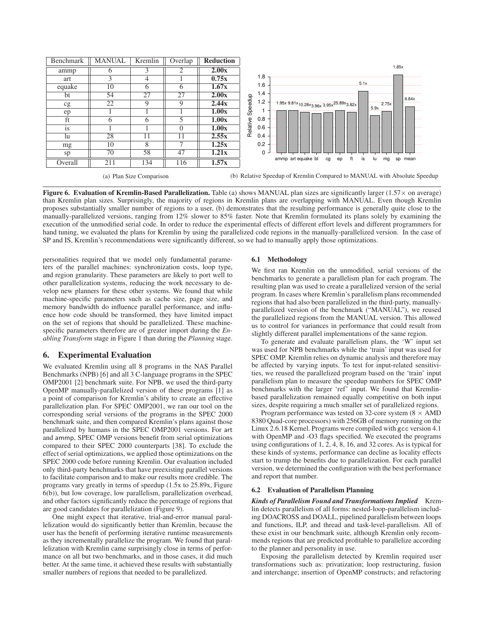

(a) Plan Size Comparison

(b) Relative Speedup of Kremlin Compared to MANUAL with Absolute Speedup

**Figure 6. Evaluation of Kremlin-Based Parallelization.** Table (a) shows MANUAL plan sizes are significantly larger (1.57× on average) than Kremlin plan sizes. Surprisingly, the majority of regions in Kremlin plans are overlapping with MANUAL. Even though Kremlin proposes substantially smaller number of regions to a user, (b) demonstrates that the resulting performance is generally quite close to the manually-parallelized versions, ranging from 12% slower to 85% faster. Note that Kremlin formulated its plans solely by examining the execution of the unmodified serial code. In order to reduce the experimental effects of different effort levels and different programmers for hand tuning, we evaluated the plans for Kremlin by using the parallelized code regions in the manually-parallelized version. In the case of SP and IS, Kremlin's recommendations were significantly different, so we had to manually apply those optimizations.

personalities required that we model only fundamental parameters of the parallel machines: synchronization costs, loop type, and region granularity. These parameters are likely to port well to other parallelization systems, reducing the work necessary to develop new planners for these other systems. We found that while machine-specific parameters such as cache size, page size, and memory bandwidth do influence parallel performance, and influence how code should be transformed, they have limited impact on the set of regions that should be parallelized. These machinespecific parameters therefore are of greater import during the *Enabling Transform* stage in Figure 1 than during the *Planning* stage.

# **6. Experimental Evaluation**

We evaluated Kremlin using all 8 programs in the NAS Parallel Benchmarks (NPB) [6] and all 3 C-language programs in the SPEC OMP2001 [2] benchmark suite. For NPB, we used the third-party OpenMP manually-parallelized version of these programs [1] as a point of comparison for Kremlin's ability to create an effective parallelization plan. For SPEC OMP2001, we ran our tool on the corresponding serial versions of the programs in the SPEC 2000 benchmark suite, and then compared Kremlin's plans against those parallelized by humans in the SPEC OMP2001 versions. For art and ammp, SPEC OMP versions benefit from serial optimizations compared to their SPEC 2000 counterparts [38]. To exclude the effect of serial optimizations, we applied those optimizations on the SPEC 2000 code before running Kremlin. Our evaluation included only third-party benchmarks that have preexisting parallel versions to facilitate comparison and to make our results more credible. The programs vary greatly in terms of speedup (1.5x to 25.89x, Figure 6(b)), but low coverage, low parallelism, parallelization overhead, and other factors significantly reduce the percentage of regions that are good candidates for parallelization (Figure 9).

One might expect that iterative, trial-and-error manual parallelization would do significantly better than Kremlin, because the user has the benefit of performing iterative runtime measurements as they incrementally parallelize the program. We found that parallelization with Kremlin came surprisingly close in terms of performance on all but two benchmarks, and in those cases, it did much better. At the same time, it achieved these results with substantially smaller numbers of regions that needed to be parallelized.

#### **6.1 Methodology**

We first ran Kremlin on the unmodified, serial versions of the benchmarks to generate a parallelism plan for each program. The resulting plan was used to create a parallelized version of the serial program. In cases where Kremlin's parallelism plans recommended regions that had also been parallelized in the third-party, manuallyparallelized version of the benchmark ("MANUAL"), we reused the parallelized regions from the MANUAL version. This allowed us to control for variances in performance that could result from slightly different parallel implementations of the same region.

To generate and evaluate parallelism plans, the 'W' input set was used for NPB benchmarks while the 'train' input was used for SPEC OMP. Kremlin relies on dynamic analysis and therefore may be affected by varying inputs. To test for input-related sensitivities, we reused the parallelized program based on the 'train' input parallelism plan to measure the speedup numbers for SPEC OMP benchmarks with the larger 'ref' input. We found that Kremlinbased parallelization remained equally competitive on both input sizes, despite requiring a much smaller set of parallelized regions.

Program performance was tested on 32-core system ( $8 \times$  AMD) 8380 Quad-core processors) with 256GB of memory running on the Linux 2.6.18 Kernel. Programs were compiled with gcc version 4.1 with OpenMP and -O3 flags specified. We executed the programs using configurations of 1, 2, 4, 8, 16, and 32 cores. As is typical for these kinds of systems, performance can decline as locality effects start to trump the benefits due to parallelization. For each parallel version, we determined the configuration with the best performance and report that number.

#### **6.2 Evaluation of Parallelism Planning**

*Kinds of Parallelism Found and Transformations Implied* Kremlin detects parallelism of all forms: nested-loop-parallelism including DOACROSS and DOALL, pipelined parallelism between loops and functions, ILP, and thread and task-level-parallelism. All of these exist in our benchmark suite, although Kremlin only recommends regions that are predicted profitable to parallelize according to the planner and personality in use.

Exposing the parallelism detected by Kremlin required user transformations such as: privatization; loop restructuring, fusion and interchange; insertion of OpenMP constructs; and refactoring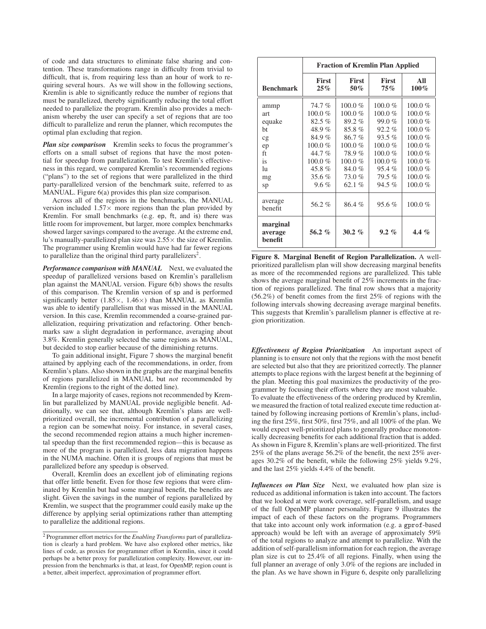of code and data structures to eliminate false sharing and contention. These transformations range in difficulty from trivial to difficult, that is, from requiring less than an hour of work to requiring several hours. As we will show in the following sections, Kremlin is able to significantly reduce the number of regions that must be parallelized, thereby significantly reducing the total effort needed to parallelize the program. Kremlin also provides a mechanism whereby the user can specify a set of regions that are too difficult to parallelize and rerun the planner, which recomputes the optimal plan excluding that region.

*Plan size comparison* Kremlin seeks to focus the programmer's efforts on a small subset of regions that have the most potential for speedup from parallelization. To test Kremlin's effectiveness in this regard, we compared Kremlin's recommended regions ("plans") to the set of regions that were parallelized in the third party-parallelized version of the benchmark suite, referred to as MANUAL. Figure 6(a) provides this plan size comparison.

Across all of the regions in the benchmarks, the MANUAL version included  $1.57\times$  more regions than the plan provided by Kremlin. For small benchmarks (e.g. ep, ft, and is) there was little room for improvement, but larger, more complex benchmarks showed larger savings compared to the average. At the extreme end, lu's manually-parallelized plan size was  $2.55 \times$  the size of Kremlin. The programmer using Kremlin would have had far fewer regions to parallelize than the original third party parallelizers<sup>2</sup>.

*Performance comparison with MANUAL* Next, we evaluated the speedup of parallelized versions based on Kremlin's parallelism plan against the MANUAL version. Figure 6(b) shows the results of this comparison. The Kremlin version of sp and is performed significantly better  $(1.85 \times, 1.46 \times)$  than MANUAL as Kremlin was able to identify parallelism that was missed in the MANUAL version. In this case, Kremlin recommended a coarse-grained parallelization, requiring privatization and refactoring. Other benchmarks saw a slight degradation in performance, averaging about 3.8%. Kremlin generally selected the same regions as MANUAL, but decided to stop earlier because of the diminishing returns.

To gain additional insight, Figure 7 shows the marginal benefit attained by applying each of the recommendations, in order, from Kremlin's plans. Also shown in the graphs are the marginal benefits of regions parallelized in MANUAL but *not* recommended by Kremlin (regions to the right of the dotted line).

In a large majority of cases, regions not recommended by Kremlin but parallelized by MANUAL provide negligible benefit. Additionally, we can see that, although Kremlin's plans are wellprioritized overall, the incremental contribution of a parallelizing a region can be somewhat noisy. For instance, in several cases, the second recommended region attains a much higher incremental speedup than the first recommended region—this is because as more of the program is parallelized, less data migration happens in the NUMA machine. Often it is groups of regions that must be parallelized before any speedup is observed.

Overall, Kremlin does an excellent job of eliminating regions that offer little benefit. Even for those few regions that were eliminated by Kremlin but had some marginal benefit, the benefits are slight. Given the savings in the number of regions parallelized by Kremlin, we suspect that the programmer could easily make up the difference by applying serial optimizations rather than attempting to parallelize the additional regions.

|                                | <b>Fraction of Kremlin Plan Applied</b> |                     |                     |                |
|--------------------------------|-----------------------------------------|---------------------|---------------------|----------------|
| <b>Benchmark</b>               | <b>First</b><br>$25\%$                  | <b>First</b><br>50% | <b>First</b><br>75% | All<br>$100\%$ |
| ammp                           | 74.7%                                   | $100.0 \%$          | $100.0 \%$          | $100.0\%$      |
| art                            | $100.0 \%$                              | $100.0 \%$          | $100.0 \%$          | $100.0 \%$     |
| equake                         | 82.5%                                   | 89.2%               | 99.0%               | $100.0 \%$     |
| ht                             | 48.9%                                   | 85.8%               | $92.2\%$            | $100.0 \%$     |
| cg                             | 84.9%                                   | 86.7%               | $93.5\%$            | $100.0 \%$     |
| ep                             | $100.0 \%$                              | $100.0 \%$          | $100.0 \%$          | $100.0 \%$     |
| ft                             | 44.7%                                   | 78.9%               | $100.0 \%$          | $100.0 \%$     |
| is                             | $100.0 \%$                              | $100.0 \%$          | $100.0 \%$          | $100.0 \%$     |
| lu                             | 45.8%                                   | 84.0%               | 95.4%               | $100.0 \%$     |
| mg                             | 35.6 $%$                                | 73.0%               | $79.5\%$            | $100.0 \%$     |
| sp                             | $9.6\%$                                 | 62.1 $%$            | $94.5\%$            | $100.0 \%$     |
| average<br>benefit             | 56.2%                                   | 86.4%               | 95.6%               | $100.0 \%$     |
| marginal<br>average<br>benefit | 56.2 $%$                                | $30.2 \%$           | $9.2\%$             | 4.4 $%$        |

**Figure 8. Marginal Benefit of Region Parallelization.** A wellprioritized parallelism plan will show decreasing marginal benefits as more of the recommended regions are parallelized. This table shows the average marginal benefit of 25% increments in the fraction of regions parallelized. The final row shows that a majority (56.2%) of benefit comes from the first 25% of regions with the following intervals showing decreasing average marginal benefits. This suggests that Kremlin's parallelism planner is effective at region prioritization.

*Effectiveness of Region Prioritization* An important aspect of planning is to ensure not only that the regions with the most benefit are selected but also that they are prioritized correctly. The planner attempts to place regions with the largest benefit at the beginning of the plan. Meeting this goal maximizes the productivity of the programmer by focusing their efforts where they are most valuable. To evaluate the effectiveness of the ordering produced by Kremlin, we measured the fraction of total realized execute time reduction attained by following increasing portions of Kremlin's plans, including the first 25%, first 50%, first 75%, and all 100% of the plan. We would expect well-prioritized plans to generally produce monotonically decreasing benefits for each additional fraction that is added. As shown in Figure 8, Kremlin's plans are well-prioritized. The first 25% of the plans average 56.2% of the benefit, the next 25% averages 30.2% of the benefit, while the following 25% yields 9.2%, and the last 25% yields 4.4% of the benefit.

*Influences on Plan Size* Next, we evaluated how plan size is reduced as additional information is taken into account. The factors that we looked at were work coverage, self-parallelism, and usage of the full OpenMP planner personality. Figure 9 illustrates the impact of each of these factors on the programs. Programmers that take into account only work information (e.g. a gprof-based approach) would be left with an average of approximately 59% of the total regions to analyze and attempt to parallelize. With the addition of self-parallelism information for each region, the average plan size is cut to 25.4% of all regions. Finally, when using the full planner an average of only 3.0% of the regions are included in the plan. As we have shown in Figure 6, despite only parallelizing

<sup>2</sup> Programmer effort metrics for the *Enabling Transforms* part of parallelization is clearly a hard problem. We have also explored other metrics, like lines of code, as proxies for programmer effort in Kremlin, since it could perhaps be a better proxy for parallelization complexity. However, our impression from the benchmarks is that, at least, for OpenMP, region count is a better, albeit imperfect, approximation of programmer effort.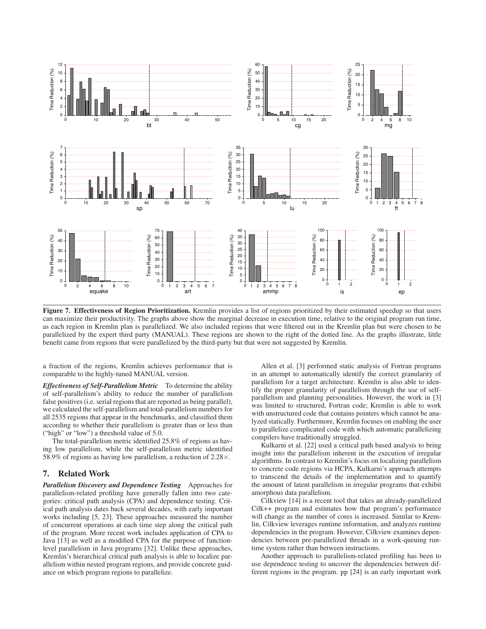

**Figure 7. Effectiveness of Region Prioritization.** Kremlin provides a list of regions prioritized by their estimated speedup so that users can maximize their productivity. The graphs above show the marginal decrease in execution time, relative to the original program run time, as each region in Kremlin plan is parallelized. We also included regions that were filtered out in the Kremlin plan but were chosen to be parallelized by the expert third party (MANUAL). These regions are shown to the right of the dotted line. As the graphs illustrate, little benefit came from regions that were parallelized by the third-party but that were not suggested by Kremlin.

a fraction of the regions, Kremlin achieves performance that is comparable to the highly-tuned MANUAL version.

*Effectiveness of Self-Parallelism Metric* To determine the ability of self-parallelism's ability to reduce the number of parallelism false positives (i.e. serial regions that are reported as being parallel), we calculated the self-parallelism and total-parallelism numbers for all 2535 regions that appear in the benchmarks, and classified them according to whether their parallelism is greater than or less than ("high" or "low") a threshold value of 5.0.

The total-parallelism metric identified 25.8% of regions as having low parallelism, while the self-parallelism metric identified 58.9% of regions as having low parallelism, a reduction of  $2.28 \times$ .

# **7. Related Work**

*Parallelism Discovery and Dependence Testing* Approaches for parallelism-related profiling have generally fallen into two categories: critical path analysis (CPA) and dependence testing. Critical path analysis dates back several decades, with early important works including [5, 23]. These approaches measured the number of concurrent operations at each time step along the critical path of the program. More recent work includes application of CPA to Java [13] as well as a modified CPA for the purpose of functionlevel parallelism in Java programs [32]. Unlike these approaches, Kremlin's hierarchical critical path analysis is able to localize parallelism within nested program regions, and provide concrete guidance on which program regions to parallelize.

Allen et al. [3] performed static analysis of Fortran programs in an attempt to automatically identify the correct granularity of parallelism for a target architecture. Kremlin is also able to identify the proper granularity of parallelism through the use of selfparallelism and planning personalities. However, the work in [3] was limited to structured, Fortran code; Kremlin is able to work with unstructured code that contains pointers which cannot be analyzed statically. Furthermore, Kremlin focuses on enabling the user to parallelize complicated code with which automatic parallelizing compilers have traditionally struggled.

Kulkarni et al. [22] used a critical path based analysis to bring insight into the parallelism inherent in the execution of irregular algorithms. In contrast to Kremlin's focus on localizing parallelism to concrete code regions via HCPA, Kulkarni's approach attempts to transcend the details of the implementation and to quantify the amount of latent parallelism in irregular programs that exhibit amorphous data parallelism.

Cilkview [14] is a recent tool that takes an already-parallelized Cilk++ program and estimates how that program's performance will change as the number of cores is increased. Similar to Kremlin, Cilkview leverages runtime information, and analyzes runtime dependencies in the program. However, Cilkview examines dependencies between pre-parallelized threads in a work-queuing runtime system rather than between instructions.

Another approach to parallelism-related profiling has been to use dependence testing to uncover the dependencies between different regions in the program. pp [24] is an early important work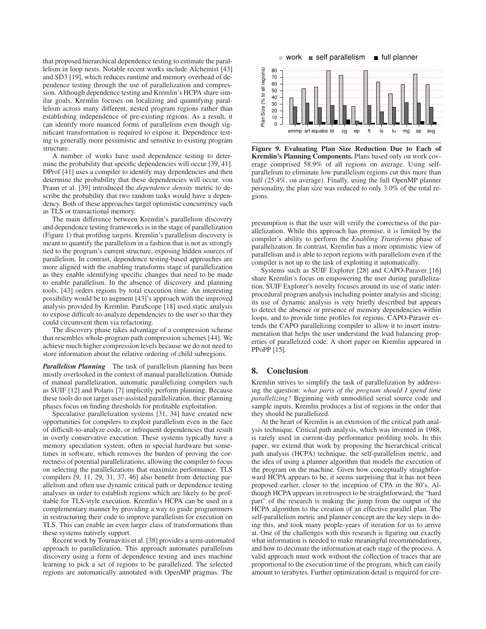that proposed hierarchical dependence testing to estimate the parallelism in loop nests. Notable recent works include Alchemist [43] and SD3 [19], which reduces runtime and memory overhead of dependence testing through the use of parallelization and compression. Although dependence testing and Kremlin's HCPA share similar goals, Kremlin focuses on localizing and quantifying parallelism across many different, nested program regions rather than establishing independence of pre-existing regions. As a result, it can identify more nuanced forms of parallelism even though significant transformation is required to expose it. Dependence testing is generally more pessimistic and sensitive to existing program structure.

A number of works have used dependence testing to determine the probability that specific dependencies will occur [39, 41]. DProf [41] uses a compiler to identify may dependencies and then determine the probability that these dependencies will occur. von Praun et al. [39] introduced the *dependence density* metric to describe the probability that two random tasks would have a dependency. Both of these approaches target optimistic concurrency such as TLS or transactional memory.

The main difference between Kremlin's parallelism discovery and dependence testing frameworks is in the stage of parallelization (Figure 1) that profiling targets. Kremlin's parallelism discovery is meant to quantify the parallelism in a fashion that is not as strongly tied to the program's current structure, exposing hidden sources of parallelism. In contrast, dependence testing-based approaches are more aligned with the enabling transforms stage of parallelization as they enable identifying specific changes that need to be made to enable parallelism. In the absence of discovery and planning tools, [43] orders regions by total execution time. An interesting possibility would be to augment [43]'s approach with the improved analysis provided by Kremlin. ParaScope [18] used static analysis to expose difficult-to-analyze dependencies to the user so that they could circumvent them via refactoring.

The discovery phase takes advantage of a compression scheme that resembles whole-program path compression schemes [44]. We achieve much higher compression levels because we do not need to store information about the relative ordering of child subregions.

*Parallelism Planning* The task of parallelism planning has been mostly overlooked in the context of manual parallelization. Outside of manual parallelization, automatic parallelizing compilers such as SUIF [12] and Polaris [7] implicitly perform planning. Because these tools do not target user-assisted parallelization, their planning phases focus on finding thresholds for profitable exploitation.

Speculative parallelization systems [31, 34] have created new opportunities for compilers to exploit parallelism even in the face of difficult-to-analyze code, or infrequent dependencies that result in overly conservative execution. These systems typically have a memory speculation system, often in special hardware but sometimes in software, which removes the burden of proving the correctness of potential parallelizations, allowing the compiler to focus on selecting the parallelizations that maximize performance. TLS compilers [9, 11, 29, 31, 37, 46] also benefit from detecting parallelism and often use dynamic critical path or dependence testing analyses in order to establish regions which are likely to be profitable for TLS-style execution. Kremlin's HCPA can be used in a complementary manner by providing a way to guide programmers in restructuring their code to improve parallelism for execution on TLS. This can enable an even larger class of transformations than these systems natively support.

Recent work by Tournavitis et al. [38] provides a semi-automated approach to parallelization. This approach automates parallelism discovery using a form of dependence testing and uses machine learning to pick a set of regions to be parallelized. The selected regions are automatically annotated with OpenMP pragmas. The



**Figure 9. Evaluating Plan Size Reduction Due to Each of Kremlin's Planning Components.** Plans based only on work coverage comprised 58.9% of all regions on average. Using selfparallelism to eliminate low parallelism regions cut this more than half (25.4%, on average). Finally, using the full OpenMP planner personality, the plan size was reduced to only 3.0% of the total regions.

presumption is that the user will verify the correctness of the parallelization. While this approach has promise, it is limited by the compiler's ability to perform the *Enabling Transforms* phase of parallelization. In contrast, Kremlin has a more optimistic view of parallelism and is able to report regions with parallelism even if the compiler is not up to the task of exploiting it automatically.

Systems such as SUIF Explorer [28] and CAPO-Paraver [16] share Kremlin's focus on empowering the user during parallelization. SUIF Explorer's novelty focuses around its use of static interprocedural program analysis including pointer analysis and slicing; its use of dynamic analysis is very briefly described but appears to detect the absence or presence of memory dependencies within loops, and to provide time profiles for regions. CAPO-Paraver extends the CAPO parallelizing compiler to allow it to insert instrumentation that helps the user understand the load balancing properties of parallelized code. A short paper on Kremlin appeared in PPoPP [15].

## **8. Conclusion**

Kremlin strives to simplify the task of parallelization by addressing the question: *what parts of the program should I spend time parallelizing?* Beginning with unmodified serial source code and sample inputs, Kremlin produces a list of regions in the order that they should be parallelized.

At the heart of Kremlin is an extension of the critical path analysis technique. Critical path analysis, which was invented in 1988, is rarely used in current-day performance profiling tools. In this paper, we extend that work by proposing the hierarchical critical path analysis (HCPA) technique, the self-parallelism metric, and the idea of using a planner algorithm that models the execution of the program on the machine. Given how conceptually straightforward HCPA appears to be, it seems surprising that it has not been proposed earlier, closer to the inception of CPA in the 80's. Although HCPA appears in retrospect to be straightforward, the "hard part" of the research is making the jump from the output of the HCPA algorithm to the creation of an effective parallel plan. The self-parallelism metric and planner concept are the key steps in doing this, and took many people-years of iteration for us to arrive at. One of the challenges with this research is figuring out exactly what information is needed to make meaningful recommendations, and how to decimate the information at each stage of the process. A valid approach must work without the collection of traces that are proportional to the execution time of the program, which can easily amount to terabytes. Further optimization detail is required for cre